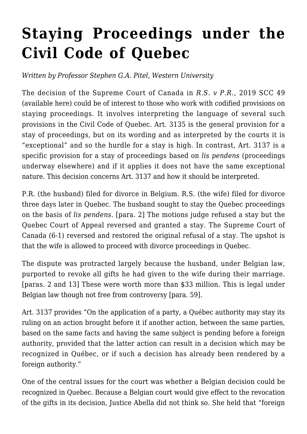## **[Staying Proceedings under the](https://conflictoflaws.net/2019/staying-proceedings-under-the-civil-code-of-quebec/) [Civil Code of Quebec](https://conflictoflaws.net/2019/staying-proceedings-under-the-civil-code-of-quebec/)**

*Written by Professor Stephen G.A. Pitel, Western University*

The decision of the Supreme Court of Canada in *R.S. v P.R.*, 2019 SCC 49 (available [here\)](https://www.canlii.org/en/ca/scc/doc/2019/2019scc49/2019scc49.html) could be of interest to those who work with codified provisions on staying proceedings. It involves interpreting the language of several such provisions in the Civil Code of Quebec. Art. 3135 is the general provision for a stay of proceedings, but on its wording and as interpreted by the courts it is "exceptional" and so the hurdle for a stay is high. In contrast, Art. 3137 is a specific provision for a stay of proceedings based on *lis pendens* (proceedings underway elsewhere) and if it applies it does not have the same exceptional nature. This decision concerns Art. 3137 and how it should be interpreted.

P.R. (the husband) filed for divorce in Belgium. R.S. (the wife) filed for divorce three days later in Quebec. The husband sought to stay the Quebec proceedings on the basis of *lis pendens*. [para. 2] The motions judge refused a stay but the Quebec Court of Appeal reversed and granted a stay. The Supreme Court of Canada (6-1) reversed and restored the original refusal of a stay. The upshot is that the wife is allowed to proceed with divorce proceedings in Quebec.

The dispute was protracted largely because the husband, under Belgian law, purported to revoke all gifts he had given to the wife during their marriage. [paras. 2 and 13] These were worth more than \$33 million. This is legal under Belgian law though not free from controversy [para. 59].

Art. 3137 provides "On the application of a party, a Québec authority may stay its ruling on an action brought before it if another action, between the same parties, based on the same facts and having the same subject is pending before a foreign authority, provided that the latter action can result in a decision which may be recognized in Québec, or if such a decision has already been rendered by a foreign authority."

One of the central issues for the court was whether a Belgian decision could be recognized in Quebec. Because a Belgian court would give effect to the revocation of the gifts in its decision, Justice Abella did not think so. She held that "foreign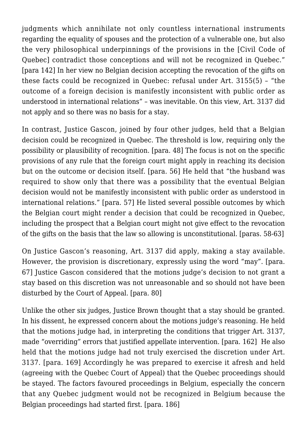judgments which annihilate not only countless international instruments regarding the equality of spouses and the protection of a vulnerable one, but also the very philosophical underpinnings of the provisions in the [Civil Code of Quebec] contradict those conceptions and will not be recognized in Quebec." [para 142] In her view no Belgian decision accepting the revocation of the gifts on these facts could be recognized in Quebec: refusal under Art. 3155(5) – "the outcome of a foreign decision is manifestly inconsistent with public order as understood in international relations" – was inevitable. On this view, Art. 3137 did not apply and so there was no basis for a stay.

In contrast, Justice Gascon, joined by four other judges, held that a Belgian decision could be recognized in Quebec. The threshold is low, requiring only the possibility or plausibility of recognition. [para. 48] The focus is not on the specific provisions of any rule that the foreign court might apply in reaching its decision but on the outcome or decision itself. [para. 56] He held that "the husband was required to show only that there was a possibility that the eventual Belgian decision would not be manifestly inconsistent with public order as understood in international relations." [para. 57] He listed several possible outcomes by which the Belgian court might render a decision that could be recognized in Quebec, including the prospect that a Belgian court might not give effect to the revocation of the gifts on the basis that the law so allowing is unconstitutional. [paras. 58-63]

On Justice Gascon's reasoning, Art. 3137 did apply, making a stay available. However, the provision is discretionary, expressly using the word "may". [para. 67] Justice Gascon considered that the motions judge's decision to not grant a stay based on this discretion was not unreasonable and so should not have been disturbed by the Court of Appeal. [para. 80]

Unlike the other six judges, Justice Brown thought that a stay should be granted. In his dissent, he expressed concern about the motions judge's reasoning. He held that the motions judge had, in interpreting the conditions that trigger Art. 3137, made "overriding" errors that justified appellate intervention. [para. 162] He also held that the motions judge had not truly exercised the discretion under Art. 3137. [para. 169] Accordingly he was prepared to exercise it afresh and held (agreeing with the Quebec Court of Appeal) that the Quebec proceedings should be stayed. The factors favoured proceedings in Belgium, especially the concern that any Quebec judgment would not be recognized in Belgium because the Belgian proceedings had started first. [para. 186]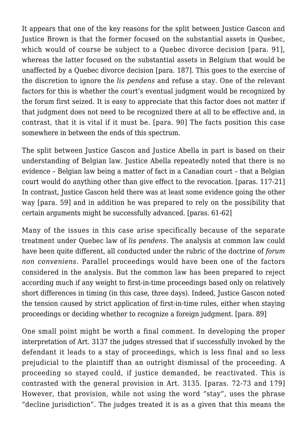It appears that one of the key reasons for the split between Justice Gascon and Justice Brown is that the former focused on the substantial assets in Quebec, which would of course be subject to a Ouebec divorce decision [para. 91]. whereas the latter focused on the substantial assets in Belgium that would be unaffected by a Quebec divorce decision [para. 187]. This goes to the exercise of the discretion to ignore the *lis pendens* and refuse a stay. One of the relevant factors for this is whether the court's eventual judgment would be recognized by the forum first seized. It is easy to appreciate that this factor does not matter if that judgment does not need to be recognized there at all to be effective and, in contrast, that it is vital if it must be. [para. 90] The facts position this case somewhere in between the ends of this spectrum.

The split between Justice Gascon and Justice Abella in part is based on their understanding of Belgian law. Justice Abella repeatedly noted that there is no evidence – Belgian law being a matter of fact in a Canadian court – that a Belgian court would do anything other than give effect to the revocation. [paras. 117-21] In contrast, Justice Gascon held there was at least some evidence going the other way [para. 59] and in addition he was prepared to rely on the possibility that certain arguments might be successfully advanced. [paras. 61-62]

Many of the issues in this case arise specifically because of the separate treatment under Quebec law of *lis pendens*. The analysis at common law could have been quite different, all conducted under the rubric of the doctrine of *forum non conveniens*. Parallel proceedings would have been one of the factors considered in the analysis. But the common law has been prepared to reject according much if any weight to first-in-time proceedings based only on relatively short differences in timing (in this case, three days). Indeed, Justice Gascon noted the tension caused by strict application of first-in-time rules, either when staying proceedings or deciding whether to recognize a foreign judgment. [para. 89]

One small point might be worth a final comment. In developing the proper interpretation of Art. 3137 the judges stressed that if successfully invoked by the defendant it leads to a stay of proceedings, which is less final and so less prejudicial to the plaintiff than an outright dismissal of the proceeding. A proceeding so stayed could, if justice demanded, be reactivated. This is contrasted with the general provision in Art. 3135. [paras. 72-73 and 179] However, that provision, while not using the word "stay", uses the phrase "decline jurisdiction". The judges treated it is as a given that this means the